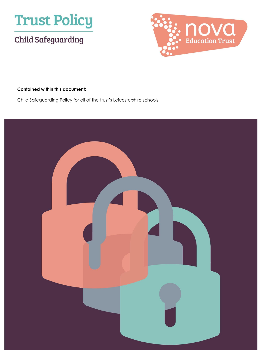

# **Child Safeguarding**



#### **Contained within this document:**

Child Safeguarding Policy for all of the trust's Leicestershire schools

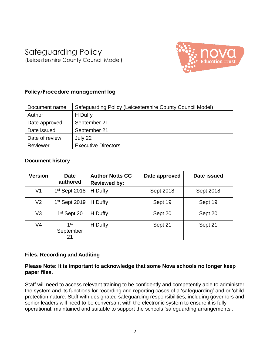# Safeguarding Policy (Leicestershire County Council Model)



# **Policy/Procedure management log**

| Document name  | Safeguarding Policy (Leicestershire County Council Model) |  |
|----------------|-----------------------------------------------------------|--|
| Author         | H Duffy                                                   |  |
| Date approved  | September 21                                              |  |
| Date issued    | September 21                                              |  |
| Date of review | July 22                                                   |  |
| Reviewer       | <b>Executive Directors</b>                                |  |

# **Document history**

| <b>Version</b> | <b>Date</b><br>authored   | <b>Author Notts CC</b><br><b>Reviewed by:</b> | Date approved | Date issued |
|----------------|---------------------------|-----------------------------------------------|---------------|-------------|
| V <sub>1</sub> | $1st$ Sept 2018           | H Duffy                                       | Sept 2018     | Sept 2018   |
| V <sub>2</sub> | 1 <sup>st</sup> Sept 2019 | H Duffy                                       | Sept 19       | Sept 19     |
| V <sub>3</sub> | 1 <sup>st</sup> Sept 20   | H Duffy                                       | Sept 20       | Sept 20     |
| V <sub>4</sub> | 1st<br>September<br>21    | H Duffy                                       | Sept 21       | Sept 21     |

# **Files, Recording and Auditing**

#### **Please Note: It is important to acknowledge that some Nova schools no longer keep paper files.**

Staff will need to access relevant training to be confidently and competently able to administer the system and its functions for recording and reporting cases of a 'safeguarding' and or 'child protection nature. Staff with designated safeguarding responsibilities, including governors and senior leaders will need to be conversant with the electronic system to ensure it is fully operational, maintained and suitable to support the schools 'safeguarding arrangements'.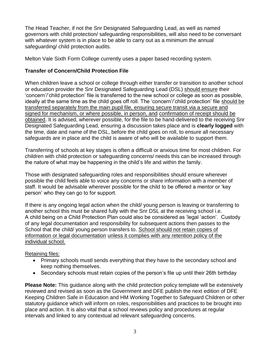The Head Teacher, if not the Snr Designated Safeguarding Lead, as well as named governors with child protection/ safeguarding responsibilities, will also need to be conversant with whatever system is in place to be able to carry out as a minimum the annual safeguarding/ child protection audits.

Melton Vale Sixth Form College currently uses a paper based recording system.

# **Transfer of Concern/Child Protection File**

When children leave a school or college through either transfer or transition to another school or education provider the Snr Designated Safeguarding Lead (DSL) should ensure their 'concern'/'child protection' file is transferred to the new school or college as soon as possible, ideally at the same time as the child goes off roll. The 'concern'/'child protection' file should be transferred separately from the main pupil file, ensuring secure transit via a secure and signed for mechanism, or where possible, in person, and confirmation of receipt should be obtained. It is advised, wherever possible, for the file to be hand-delivered to the receiving Snr Designated Safeguarding Lead, ensuring a discussion takes place and is **clearly logged** with the time, date and name of the DSL, before the child goes on roll, to ensure all necessary safeguards are in place and the child is aware of who will be available to support them.

Transferring of schools at key stages is often a difficult or anxious time for most children. For children with child protection or safeguarding concerns/ needs this can be increased through the nature of what may be happening in the child's life and within the family.

Those with designated safeguarding roles and responsibilities should ensure wherever possible the child feels able to voice any concerns or share information with a member of staff. It would be advisable wherever possible for the child to be offered a mentor or 'key person' who they can go to for support.

If there is any ongoing legal action when the child/ young person is leaving or transferring to another school this must be shared fully with the Snr DSL at the receiving school i.e. A child being on a Child Protection Plan could also be considered as 'legal 'action'. Custody of any legal documentation and responsibility for subsequent actions then passes to the School that the child/ young person transfers to. School should not retain copies of information or legal documentation unless it complies with any retention policy of the individual school.

# Retaining files:

- Primary schools mustl sends everything that they have to the secondary school and keep nothing themselves.
- Secondary schools must retain copies of the person's file up until their 26th birthday

**Please Note:** This guidance along with the child protection policy template will be extensively reviewed and revised as soon as the Government and DFE publish the next edition of DFE Keeping Children Safe in Education and HM Working Together to Safeguard Children or other statutory guidance which will inform on roles, responsibilities and practices to be brought into place and action. It is also vital that a school reviews policy and procedures at regular intervals and linked to any contextual ad relevant safeguarding concerns.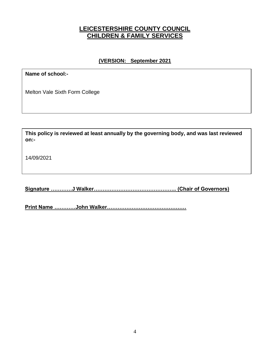# **LEICESTERSHIRE COUNTY COUNCIL CHILDREN & FAMILY SERVICES**

## **(VERSION: September 2021**

**Name of school:-**

Melton Vale Sixth Form College

**This policy is reviewed at least annually by the governing body, and was last reviewed on:-**

14/09/2021

**Signature …………J Walker……………………………………….. (Chair of Governors)**

**Print Name …………John Walker………………………………………**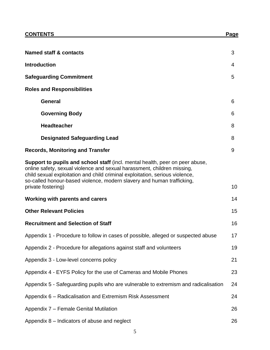| <b>Named staff &amp; contacts</b>                                                                                                                                                                                                                                                                                                       | 3  |
|-----------------------------------------------------------------------------------------------------------------------------------------------------------------------------------------------------------------------------------------------------------------------------------------------------------------------------------------|----|
| <b>Introduction</b>                                                                                                                                                                                                                                                                                                                     | 4  |
| <b>Safeguarding Commitment</b>                                                                                                                                                                                                                                                                                                          | 5  |
| <b>Roles and Responsibilities</b>                                                                                                                                                                                                                                                                                                       |    |
| <b>General</b>                                                                                                                                                                                                                                                                                                                          | 6  |
| <b>Governing Body</b>                                                                                                                                                                                                                                                                                                                   | 6  |
| <b>Headteacher</b>                                                                                                                                                                                                                                                                                                                      | 8  |
| <b>Designated Safeguarding Lead</b>                                                                                                                                                                                                                                                                                                     | 8  |
| <b>Records, Monitoring and Transfer</b>                                                                                                                                                                                                                                                                                                 | 9  |
| Support to pupils and school staff (incl. mental health, peer on peer abuse,<br>online safety, sexual violence and sexual harassment, children missing,<br>child sexual exploitation and child criminal exploitation, serious violence,<br>so-called honour-based violence, modern slavery and human trafficking,<br>private fostering) | 10 |
| Working with parents and carers                                                                                                                                                                                                                                                                                                         | 14 |
| <b>Other Relevant Policies</b>                                                                                                                                                                                                                                                                                                          | 15 |
| <b>Recruitment and Selection of Staff</b>                                                                                                                                                                                                                                                                                               | 16 |
| Appendix 1 - Procedure to follow in cases of possible, alleged or suspected abuse                                                                                                                                                                                                                                                       | 17 |
| Appendix 2 - Procedure for allegations against staff and volunteers                                                                                                                                                                                                                                                                     | 19 |
| Appendix 3 - Low-level concerns policy                                                                                                                                                                                                                                                                                                  | 21 |
| Appendix 4 - EYFS Policy for the use of Cameras and Mobile Phones                                                                                                                                                                                                                                                                       | 23 |
| Appendix 5 - Safeguarding pupils who are vulnerable to extremism and radicalisation                                                                                                                                                                                                                                                     | 24 |
| Appendix 6 – Radicalisation and Extremism Risk Assessment                                                                                                                                                                                                                                                                               | 24 |
| Appendix 7 - Female Genital Mutilation                                                                                                                                                                                                                                                                                                  | 26 |
| Appendix 8 - Indicators of abuse and neglect                                                                                                                                                                                                                                                                                            | 26 |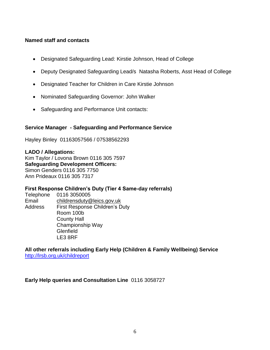#### **Named staff and contacts**

- Designated Safeguarding Lead: Kirstie Johnson, Head of College
- Deputy Designated Safeguarding Lead/s Natasha Roberts, Asst Head of College
- Designated Teacher for Children in Care Kirstie Johnson
- Nominated Safeguarding Governor: John Walker
- Safeguarding and Performance Unit contacts:

#### **Service Manager - Safeguarding and Performance Service**

Hayley Binley 01163057566 / 07538562293

**LADO / Allegations:** Kim Taylor / Lovona Brown 0116 305 7597 **Safeguarding Development Officers:**  Simon Genders 0116 305 7750 Ann Prideaux 0116 305 7317

#### **First Response Children's Duty (Tier 4 Same-day referrals)**

Telephone 0116 3050005 Email [childrensduty@leics.gov.uk](mailto:childrensduty@leics.gov.uk) Address First Response Children's Duty Room 100b County Hall Championship Way **Glenfield** LE3 8RF

**All other referrals including Early Help (Children & Family Wellbeing) Service** <http://lrsb.org.uk/childreport>

**Early Help queries and Consultation Line** 0116 3058727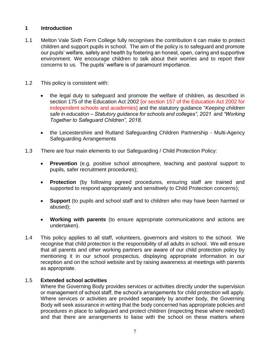#### **1 Introduction**

- 1.1 Melton Vale Sixth Form College fully recognises the contribution it can make to protect children and support pupils in school. The aim of the policy is to safeguard and promote our pupils' welfare, safety and health by fostering an honest, open, caring and supportive environment. We encourage children to talk about their worries and to report their concerns to us. The pupils' welfare is of paramount importance.
- 1.2 This policy is consistent with:
	- the legal duty to safeguard and promote the welfare of children, as described in section 175 of the Education Act 2002 [or section 157 of the Education Act 2002 for independent schools and academies] and the statutory guidance "*Keeping children safe in education – Statutory guidance for schools and colleges", 2021* and *"Working Together to Safeguard Children", 2018.*
	- the Leicestershire and Rutland Safeguarding Children Partnership Multi-Agency Safeguarding Arrangements
- 1.3 There are four main elements to our Safeguarding / Child Protection Policy:
	- **Prevention** (e.g. positive school atmosphere, teaching and pastoral support to pupils, safer recruitment procedures);
	- **Protection** (by following agreed procedures, ensuring staff are trained and supported to respond appropriately and sensitively to Child Protection concerns);
	- **Support** (to pupils and school staff and to children who may have been harmed or abused);
	- **Working with parents** (to ensure appropriate communications and actions are undertaken).
- 1.4 This policy applies to all staff, volunteers, governors and visitors to the school. We recognise that child protection is the responsibility of all adults in school. We will ensure that all parents and other working partners are aware of our child protection policy by mentioning it in our school prospectus, displaying appropriate information in our reception and on the school website and by raising awareness at meetings with parents as appropriate.

#### 1.5 **Extended school activities**

Where the Governing Body provides services or activities directly under the supervision or management of school staff, the school's arrangements for child protection will apply. Where services or activities are provided separately by another body, the Governing Body will seek assurance in writing that the body concerned has appropriate policies and procedures in place to safeguard and protect children (inspecting these where needed) and that there are arrangements to liaise with the school on these matters where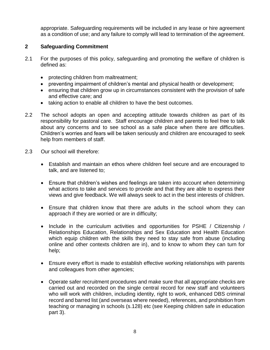appropriate. Safeguarding requirements will be included in any lease or hire agreement as a condition of use; and any failure to comply will lead to termination of the agreement.

#### **2 Safeguarding Commitment**

- 2.1 For the purposes of this policy, safeguarding and promoting the welfare of children is defined as:
	- protecting children from maltreatment;
	- preventing impairment of children's mental and physical health or development;
	- ensuring that children grow up in circumstances consistent with the provision of safe and effective care; and
	- taking action to enable all children to have the best outcomes.
- 2.2 The school adopts an open and accepting attitude towards children as part of its responsibility for pastoral care. Staff encourage children and parents to feel free to talk about any concerns and to see school as a safe place when there are difficulties. Children's worries and fears will be taken seriously and children are encouraged to seek help from members of staff.
- 2.3 Our school will therefore:
	- Establish and maintain an ethos where children feel secure and are encouraged to talk, and are listened to;
	- Ensure that children's wishes and feelings are taken into account when determining what actions to take and services to provide and that they are able to express their views and give feedback. We will always seek to act in the best interests of children.
	- Ensure that children know that there are adults in the school whom they can approach if they are worried or are in difficulty;
	- Include in the curriculum activities and opportunities for PSHE / Citizenship / Relationships Education, Relationships and Sex Education and Health Education which equip children with the skills they need to stay safe from abuse (including online and other contexts children are in), and to know to whom they can turn for help;
	- Ensure every effort is made to establish effective working relationships with parents and colleagues from other agencies;
	- Operate safer recruitment procedures and make sure that all appropriate checks are carried out and recorded on the single central record for new staff and volunteers who will work with children, including identity, right to work, enhanced DBS criminal record and barred list (and overseas where needed), references, and prohibition from teaching or managing in schools (s.128) etc (see Keeping children safe in education part 3).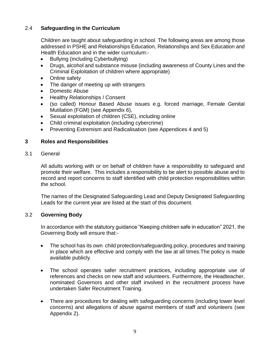# 2.4 **Safeguarding in the Curriculum**

Children are taught about safeguarding in school. The following areas are among those addressed in PSHE and Relationships Education, Relationships and Sex Education and Health Education and in the wider curriculum:-

- Bullying (including Cyberbullying)
- Drugs, alcohol and substance misuse (including awareness of County Lines and the Criminal Exploitation of children where appropriate)
- Online safety
- The danger of meeting up with strangers
- Domestic Abuse
- Healthy Relationships / Consent
- (so called) Honour Based Abuse issues e.g. forced marriage, Female Genital Mutilation (FGM) (see Appendix 6),
- Sexual exploitation of children (CSE), including online
- Child criminal exploitation (including cybercrime)
- Preventing Extremism and Radicalisation (see Appendices 4 and 5)

#### **3 Roles and Responsibilities**

3.1 General

All adults working with or on behalf of children have a responsibility to safeguard and promote their welfare. This includes a responsibility to be alert to possible abuse and to record and report concerns to staff identified with child protection responsibilities within the school.

The names of the Designated Safeguarding Lead and Deputy Designated Safeguarding Leads for the current year are listed at the start of this document.

#### 3.2 **Governing Body**

In accordance with the statutory guidance "Keeping children safe in education" 2021*,* the Governing Body will ensure that:-

- The school has its own child protection/safeguarding policy, procedures and training in place which are effective and comply with the law at all times.The policy is made available publicly.
- The school operates safer recruitment practices, including appropriate use of references and checks on new staff and volunteers. Furthermore, the Headteacher, nominated Governors and other staff involved in the recruitment process have undertaken Safer Recruitment Training.
- There are procedures for dealing with safeguarding concerns (including lower level concerns) and allegations of abuse against members of staff and volunteers (see Appendix 2).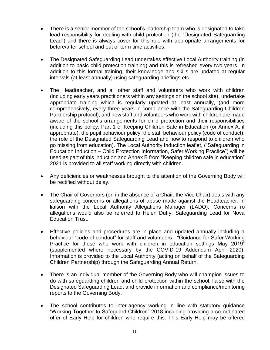- There is a senior member of the school's leadership team who is designated to take lead responsibility for dealing with child protection (the "Designated Safeguarding Lead") and there is always cover for this role with appropriate arrangements for before/after school and out of term time activities.
- The Designated Safeguarding Lead undertakes effective Local Authority training (in addition to basic child protection training) and this is refreshed every two years. In addition to this formal training, their knowledge and skills are updated at regular intervals (at least annually) using safeguarding briefings etc.
- The Headteacher, and all other staff and volunteers who work with children (including early years practitioners within any settings on the school site), undertake appropriate training which is regularly updated at least annually, (and more comprehensively, every three years in compliance with the Safeguarding Children Partnership protocol); and new staff and volunteers who work with children are made aware of the school's arrangements for child protection and their responsibilities (including this policy, Part 1 of Keeping Children Safe in Education (or Annex A, if appropriate), the pupil behaviour policy, the staff behaviour policy (code of conduct), the role of the Designated Safeguarding Lead and how to respond to children who go missing from education). The Local Authority Induction leaflet, ("Safeguarding in Education Induction – Child Protection Information, Safer Working Practice") will be used as part of this induction and Annex B from "Keeping children safe in education" 2021 is provided to all staff working directly with children.
- Any deficiencies or weaknesses brought to the attention of the Governing Body will be rectified without delay.
- The Chair of Governors (or, in the absence of a Chair, the Vice Chair) deals with any safeguarding concerns or allegations of abuse made against the Headteacher, in liaison with the Local Authority Allegations Manager (LADO). Concerns ro allegations would also be referred to Helen Duffy, Safeguarding Lead for Nova Education Trust.
- Effective policies and procedures are in place and updated annually including a behaviour "code of conduct" for staff and volunteers - "Guidance for Safer Working Practice for those who work with children in education settings May 2019" (supplemented where necessary by the COVID-19 Addendum April 2020). Information is provided to the Local Authority (acting on behalf of the Safeguarding Children Partnership) through the Safeguarding Annual Return.
- There is an individual member of the Governing Body who will champion issues to do with safeguarding children and child protection within the school, liaise with the Designated Safeguarding Lead, and provide information and compliance/monitoring reports to the Governing Body.
- The school contributes to inter-agency working in line with statutory guidance "Working Together to Safeguard Children" 2018 including providing a co-ordinated offer of Early Help for children who require this. This Early Help may be offered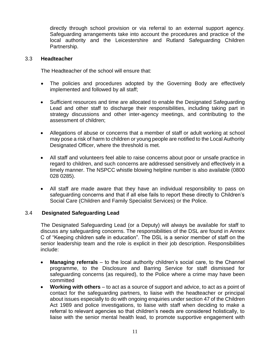directly through school provision or via referral to an external support agency. Safeguarding arrangements take into account the procedures and practice of the local authority and the Leicestershire and Rutland Safeguarding Children Partnership.

#### 3.3 **Headteacher**

The Headteacher of the school will ensure that:

- The policies and procedures adopted by the Governing Body are effectively implemented and followed by all staff;
- Sufficient resources and time are allocated to enable the Designated Safeguarding Lead and other staff to discharge their responsibilities, including taking part in strategy discussions and other inter-agency meetings, and contributing to the assessment of children;
- Allegations of abuse or concerns that a member of staff or adult working at school may pose a risk of harm to children or young people are notified to the Local Authority Designated Officer, where the threshold is met.
- All staff and volunteers feel able to raise concerns about poor or unsafe practice in regard to children, and such concerns are addressed sensitively and effectively in a timely manner. The NSPCC whistle blowing helpline number is also available (0800 028 0285).
- All staff are made aware that they have an individual responsibility to pass on safeguarding concerns and that if all else fails to report these directly to Children's Social Care (Children and Family Specialist Services) or the Police.

#### 3.4 **Designated Safeguarding Lead**

The Designated Safeguarding Lead (or a Deputy) will always be available for staff to discuss any safeguarding concerns. The responsibilities of the DSL are found in Annex C of "Keeping children safe in education". The DSL is a senior member of staff on the senior leadership team and the role is explicit in their job description. Responsibilities include:

- **Managing referrals** to the local authority children's social care, to the Channel programme, to the Disclosure and Barring Service for staff dismissed for safeguarding concerns (as required), to the Police where a crime may have been committed
- **Working with others** to act as a source of support and advice, to act as a point of contact for the safeguarding partners, to liaise with the headteacher or principal about issues especially to do with ongoing enquiries under section 47 of the Children Act 1989 and police investigations, to liaise with staff when deciding to make a referral to relevant agencies so that children's needs are considered holistically, to liaise with the senior mental health lead, to promote supportive engagement with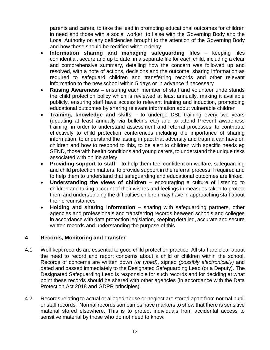parents and carers, to take the lead in promoting educational outcomes for children in need and those with a social worker, to liaise with the Governing Body and the Local Authority on any deficiencies brought to the attention of the Governing Body and how these should be rectified without delay

- **Information sharing and managing safeguarding files** keeping files confidential, secure and up to date, in a separate file for each child, including a clear and comprehensive summary, detailing how the concern was followed up and resolved, with a note of actions, decisions and the outcome, sharing information as required to safeguard children and transferring records and other relevant information to the new school within 5 days or in advance if necessary
- **Raising Awareness** ensuring each member of staff and volunteer understands the child protection policy which is reviewed at least annually, making it available publicly, ensuring staff have access to relevant training and induction, promotoing educational outcomes by sharing relevant information about vulnerable children
- **Training, knowledge and skills**  to undergo DSL training every two years (updating at least annually via bulletins etc) and to attend Prevent awareness training, in order to understand assessment and referral processes, to contribute effectively to child protection conferences including the importance of sharing information, to understand the lasting impact that adversity and trauma can have on children and how to respond to this, to be alert to children with specific needs eg SEND, those with health conditions and young carers, to understand the unique risks associated with online safety
- **Providing support to staff** to help them feel confident on welfare, safeguarding and child protection matters, to provide support in the referral process if required and to help them to understand that safeguarding and educational outcomes are linked
- **Understanding the views of children**  encouraging a culture of listening to children and taking account of their wishes and feelings in measues taken to protect them and understanding the difficulties children may have in approaching staff about their circumstances
- **Holding and sharing information** sharing with safeguarding partners, other agencies and professionals and transferring records between schools and colleges in accordance with data protection legislation, keeping detailed, accurate and secure written records and understanding the purpose of this

# **4 Records, Monitoring and Transfer**

- 4.1 Well-kept records are essential to good child protection practice. All staff are clear about the need to record and report concerns about a child or children within the school. Records of concerns are written down *(or typed)*, signed *(possibly electronically)* and dated and passed immediately to the Designated Safeguarding Lead (or a Deputy). The Designated Safeguarding Lead is responsible for such records and for deciding at what point these records should be shared with other agencies (in accordance with the Data Protection Act 2018 and GDPR principles).
- 4.2 Records relating to actual or alleged abuse or neglect are stored apart from normal pupil or staff records. Normal records sometimes have markers to show that there is sensitive material stored elsewhere. This is to protect individuals from accidental access to sensitive material by those who do not need to know.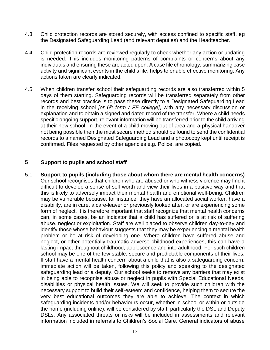- 4.3 Child protection records are stored securely, with access confined to specific staff, eg the Designated Safeguarding Lead (and relevant deputies) and the Headteacher.
- 4.4 Child protection records are reviewed regularly to check whether any action or updating is needed. This includes monitoring patterns of complaints or concerns about any individuals and ensuring these are acted upon. A case file chronology, summarizing case activity and significant events in the child's life, helps to enable effective monitoring. Any actions taken are clearly indicated.
- 4.5 When children transfer school their safeguarding records are also transferred within 5 days of them starting. Safeguarding records will be transferred separately from other records and best practice is to pass these directly to a Designated Safeguarding Lead in the receiving school *[or 6th form / FE college]*, with any necessary discussion or explanation and to obtain a signed and dated record of the transfer. Where a child needs specific ongoing support, relevant information will be transferred prior to the child arriving at their new school. In the event of a child moving out of area and a physical handover not being possible then the most secure method should be found to send the confidential records to a named Designated Safeguarding Lead and a photocopy kept until receipt is confirmed. Files requested by other agencies e.g. Police, are copied.

#### **5 Support to pupils and school staff**

5.1 **Support to pupils (including those about whom there are mental health concerns)** Our school recognises that children who are abused or who witness violence may find it difficult to develop a sense of self-worth and view their lives in a positive way and that this is likely to adversely impact their mental health and emotional well-being. Children may be vulnerable because, for instance, they have an allocated social worker, have a disability, are in care, a care-leaver or previously looked after, or are experiencing some form of neglect. It is therefore important that staff recognize that mental health concerns can, in some cases, be an indicator that a child has suffered or is at risk of suffering abuse, neglect or exploitation. Staff are well placed to observe children day-to-day and identify those whose behaviour suggests that they may be experiencing a mental health problem or be at risk of developing one. Where children have suffered abuse and neglect, or other potentially traumatic adverse childhood experiences, this can have a lasting impact throughout childhood, adolescence and into adulthood. For such children school may be one of the few stable, secure and predictable components of their lives. If staff have a mental health concern about a child that is also a safeguarding concern, immediate action will be taken, following this policy and speaking to the designated safeguarding lead or a deputy. Our school seeks to remove any barriers that may exist in being able to recognise abuse or neglect in pupils with Special Educational Needs, disabilities or physical health issues. We will seek to provide such children with the necessary support to build their self-esteem and confidence, helping them to secure the very best educational outcomes they are able to achieve. The context in which safeguarding incidents and/or behaviours occur, whether in school or within or outside the home (including online), will be considered by staff, particularly the DSL and Deputy DSLs. Any associated threats or risks will be included in assessments and relevant information included in referrals to Children's Social Care. General indicators of abuse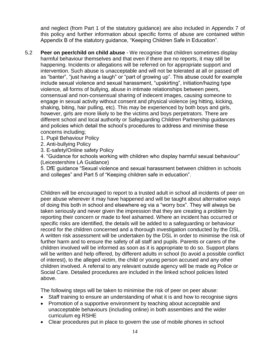and neglect (from Part 1 of the statutory guidance) are also included in Appendix 7 of this policy and further information about specific forms of abuse are contained within Appendix B of the statutory guidance, "Keeping Children Safe in Education".

- 5.2 **Peer on peer/child on child abuse** We recognise that children sometimes display harmful behaviour themselves and that even if there are no reports, it may still be happening. Incidents or allegations will be referred on for appropriate support and intervention. Such abuse is unacceptable and will not be tolerated at all or passed off as "banter", "just having a laugh" or "part of growing up". This abuse could for example include sexual violence and sexual harassment, "upskirting", initiation/hazing type violence, all forms of bullying, abuse in intimate relationships between peers, consensual and non-consensual sharing of indecent images, causing someone to engage in sexual activity without consent and physical violence (eg hitting, kicking, shaking, biting, hair pulling, etc). This may be experienced by both boys and girls, however, girls are more likely to be the victims and boys perpetrators. There are different school and local authority or Safeguarding Children Partnership guidances and policies which detail the school's procedures to address and minimise these concerns including;
	- 1. Pupil Behaviour Policy
	- 2. Anti-bullying Policy
	- 3. E-safety/Online safety Policy

4. "Guidance for schools working with children who display harmful sexual behaviour" (Leicestershire LA Guidance)

5. DfE guidance "Sexual violence and sexual harassment between children in schools and colleges" and Part 5 of "Keeping children safe in education".

Children will be encouraged to report to a trusted adult in school all incidents of peer on peer abuse wherever it may have happened and will be taught about alternative ways of doing this both in school and elsewhere eg via a "worry box". They will always be taken seriously and never given the impression that they are creating a problem by reporting their concern or made to feel ashamed. Where an incident has occurred or specific risks are identified, the details will be added to a safeguarding or behaviour record for the children concerned and a thorough investigation conducted by the DSL. A written risk assessment will be undertaken by the DSL in order to minimise the risk of further harm and to ensure the safety of all staff and pupils. Parents or carers of the children involved will be informed as soon as it is appropriate to do so. Support plans will be written and help offered, by different adults in school (to avoid a possible conflict of interest), to the alleged victim, the child or young person accused and any other children involved. A referral to any relevant outside agency will be made eg Police or Social Care. Detailed procedures are included in the linked school policies listed above.

The following steps will be taken to minimise the risk of peer on peer abuse:

- Staff training to ensure an understanding of what it is and how to recognise signs
- Promotion of a supportive environment by teaching about acceptable and unacceptable behaviours (including online) in both assembies and the wider curriculum eg RSHE
- Clear procedures put in place to govern the use of mobile phones in school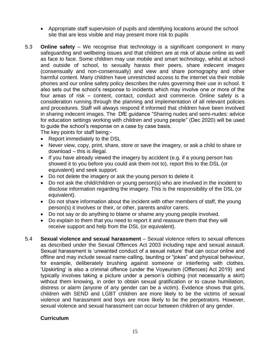- Appropriate staff supervision of pupils and identifying locations around the school site that are less visible and may present more risk to pupils
- 5.3 **Online safety**  We recognise that technology is a significant component in many safeguarding and wellbeing issues and that children are at risk of abuse online as well as face to face. Some children may use mobile and smart technology, whilst at school and outside of school, to sexually harass their peers, share indecent images (consensually and non-consensually) and view and share pornography and other harmful content. Many children have unrestricted access to the internet via their mobile phones and our online safety policy describes the rules governing their use in school. It also sets out the school's response to incidents which may involve one or more of the four areas of risk – content, contact, conduct and commerce. Online safety is a consideration running through the planning and implementation of all relevant policies and procedures. Staff will always respond if informed that children have been involved in sharing indecent images. The DfE guidance "Sharing nudes and semi-nudes: advice for education settings working with children and young people" (Dec 2020) will be used to guide the school's response on a case by case basis.

The key points for staff being:-

- Report immediately to the DSL
- Never view, copy, print, share, store or save the imagery, or ask a child to share or download – this is illegal.
- If you have already viewed the imagery by accident (e.g. if a young person has showed it to you before you could ask them not to), report this to the DSL (or equivalent) and seek support.
- Do not delete the imagery or ask the young person to delete it.
- Do not ask the child/children or young person(s) who are involved in the incident to disclose information regarding the imagery. This is the responsibility of the DSL (or equivalent).
- Do not share information about the incident with other members of staff, the young person(s) it involves or their, or other, parents and/or carers.
- Do not say or do anything to blame or shame any young people involved.
- Do explain to them that you need to report it and reassure them that they will receive support and help from the DSL (or equivalent).
- 5.4 **Sexual violence and sexual harassment** Sexual violence refers to sexual offences as described under the Sexual Offences Act 2003 including rape and sexual assault. Sexual harassment is 'unwanted conduct of a sexual nature' that can occur online and offline and may include sexual name-calling, taunting or "jokes" and physical behaviour, for example, deliberately brushing against someone or interfering with clothes. 'Upskirting' is also a criminal offence (under the Voyeurism (Offences) Act 2019) and typically involves taking a picture under a person's clothing (not necessarily a skirt) without them knowing, in order to obtain sexual gratification or to cause humiliation, distress or alarm (anyone of any gender can be a victim). Evidence shows that girls, children with SEND and LGBT children are more likely to be the victims of sexual violence and harassment and boys are more likely to be the perpetrators. However, sexual violence and sexual harassment can occur between children of any gender.

#### **Curriculum**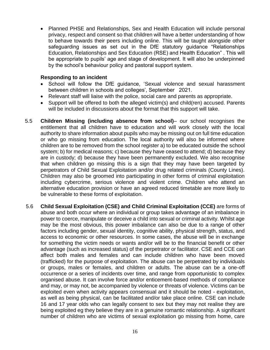• Planned PHSE and Relationships, Sex and Health Education will include personal privacy, respect and consent so that children will have a better understanding of how to behave towards their peers including online. This will be taught alongside other safeguarding issues as set out in the DfE statutory guidance "Relationships Education, Relationships and Sex Education (RSE) and Health Education" . This will be appropriate to pupils' age and stage of development. It will also be underpinned by the school's behaviour policy and pastoral support system.

#### **Responding to an incident**

- School will follow the DfE guidance, 'Sexual violence and sexual harassment between children in schools and colleges', September 2021.
- Relevant staff will liaise with the police, social care and parents as appropriate.
- Support will be offered to both the alleged victim(s) and child(ren) accused. Parents will be included in discussions about the format that this support will take.
- 5.5 **Children Missing (including absence from school)** our school recognises the entitlement that all children have to education and will work closely with the local authority to share information about pupils who may be missing out on full time education or who go missing from education. The local authority will also be informed where children are to be removed from the school register a) to be educated outside the school system; b) for medical reasons; c) because they have ceased to attend; d) because they are in custody; d) because they have been permanently excluded. We also recognise that when children go missing this is a sign that they may have been targeted by perpetrators of Child Sexual Exploitation and/or drug related criminals (County Lines). Children may also be groomed into participating in other forms of criminal exploitation including cybercrime, serious violence and violent crime. Children who attend an alternative education provision or have an agreed reduced timetable are more likely to be vulnerable to these forms of exploitation.
- 5.6 **Child Sexual Exploitation (CSE) and Child Criminal Exploitation (CCE)** are forms of abuse and both occur where an individual or group takes advantage of an imbalance in power to coerce, manipulate or deceive a child into sexual or criminal activity. Whilst age may be the most obvious, this power imbalance can also be due to a range of other factors including gender, sexual identity, cognitive ability, physical strength, status, and access to economic or other resources. In some cases, the abuse will be in exchange for something the victim needs or wants and/or will be to the financial benefit or other advantage (such as increased status) of the perpetrator or facilitator. CSE and CCE can affect both males and females and can include children who have been moved (trafficked) for the purpose of exploitation. The abuse can be perpetrated by individuals or groups, males or females, and children or adults. The abuse can be a one-off occurrence or a series of incidents over time, and range from opportunistic to complex organised abuse. It can involve force and/or enticement-based methods of compliance and may, or may not, be accompanied by violence or threats of violence. Victims can be exploited even when activity appears consensual and it should be noted - exploitation, as well as being physical, can be facilitated and/or take place online. CSE can include 16 and 17 year olds who can legally consent to sex but they may not realise they are being exploited eg they believe they are in a genuine romantic relationship. A significant number of children who are victims of sexual exploitation go missing from home, care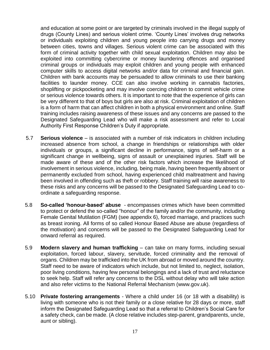and education at some point or are targeted by criminals involved in the illegal supply of drugs (County Lines) and serious violent crime. 'County Lines' involves drug networks or individuals exploiting children and young people into carrying drugs and money between cities, towns and villages. Serious violent crime can be associated with this form of criminal activity together with child sexual exploitation. Children may also be exploited into committing cybercrime or money laundering offences and organised criminal groups or individuals may exploit children and young people with enhanced computer skills to access digital networks and/or data for criminal and financial gain. Children with bank accounts may be persuaded to allow criminals to use their banking facilities to launder money. CCE can also involve working in cannabis factories, shoplifting or pickpocketing and may involve coercing children to commit vehicle crime or serious violence towards others. It is important to note that the experience of girls can be very different to that of boys but girls are also at risk. Criminal exploitation of children is a form of harm that can affect children in both a physical environment and online. Staff training includes raising awareness of these issues and any concerns are passed to the Designated Safeguarding Lead who will make a risk assessment and refer to Local Authority First Response Children's Duty if appropriate.

- 5.7 **Serious violence** is associated with a number of risk indicators in children including increased absence from school, a change in friendships or relationships with older individuals or groups, a significant decline in performance, signs of self-harm or a significant change in wellbeing, signs of assault or unexplained injuries. Staff will be made aware of these and of the other risk factors which increase the likelihood of involvement in serious violence, including, being male, having been frequently absent or permanently excluded from school, having experienced child maltreatment and having been involved in offending such as theft or robbery. Staff training will raise awareness to these risks and any concerns will be passed to the Designated Safeguarding Lead to coordinate a safeguarding response.
- 5.8 **So-called 'honour-based' abuse** encompasses crimes which have been committed to protect or defend the so-called "honour" of the family and/or the community, including Female Genital Mutilation (FGM) (see appendix 6), forced marriage, and practices such as breast ironing. All forms of so called Honour Based Abuse are abuse (regardless of the motivation) and concerns will be passed to the Designated Safeguarding Lead for onward referral as required.
- 5.9 **Modern slavery and human trafficking** can take on many forms, including sexual exploitation, forced labour, slavery, servitude, forced criminality and the removal of organs. Children may be trafficked into the UK from abroad or moved around the country. Staff need to be aware of indicators which include, but not limited to, neglect, isolation, poor living conditions, having few personal belongings and a lack of trust and reluctance to seek help. Staff will refer any concerns to the DSL without delay who will take action and also refer victims to the National Referral Mechanism (www.gov.uk).
- 5.10 **Private fostering arrangements** Where a child under 16 (or 18 with a disability) is living with someone who is not their family or a close relative for 28 days or more, staff inform the Designated Safeguarding Lead so that a referral to Children's Social Care for a safety check, can be made. (A close relative includes step-parent, grandparents, uncle, aunt or sibling).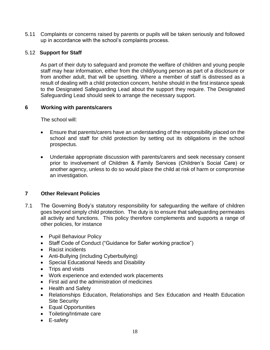5.11 Complaints or concerns raised by parents or pupils will be taken seriously and followed up in accordance with the school's complaints process.

#### 5.12 **Support for Staff**

As part of their duty to safeguard and promote the welfare of children and young people staff may hear information, either from the child/young person as part of a disclosure or from another adult, that will be upsetting. Where a member of staff is distressed as a result of dealing with a child protection concern, he/she should in the first instance speak to the Designated Safeguarding Lead about the support they require. The Designated Safeguarding Lead should seek to arrange the necessary support.

#### **6 Working with parents/carers**

The school will:

- Ensure that parents/carers have an understanding of the responsibility placed on the school and staff for child protection by setting out its obligations in the school prospectus.
- Undertake appropriate discussion with parents/carers and seek necessary consent prior to involvement of Children & Family Services (Children's Social Care) or another agency, unless to do so would place the child at risk of harm or compromise an investigation.

# **7 Other Relevant Policies**

- 7.1 The Governing Body's statutory responsibility for safeguarding the welfare of children goes beyond simply child protection. The duty is to ensure that safeguarding permeates all activity and functions. This policy therefore complements and supports a range of other policies, for instance
	- Pupil Behaviour Policy
	- Staff Code of Conduct ("Guidance for Safer working practice")
	- Racist incidents
	- Anti-Bullying (including Cyberbullying)
	- Special Educational Needs and Disability
	- Trips and visits
	- Work experience and extended work placements
	- First aid and the administration of medicines
	- Health and Safety
	- Relationships Education, Relationships and Sex Education and Health Education Site Security
	- Equal Opportunities
	- Toileting/Intimate care
	- E-safety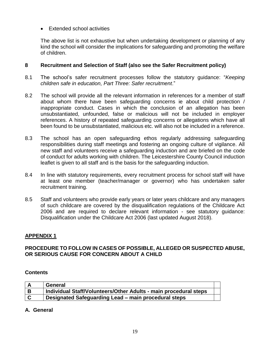## • Extended school activities

The above list is not exhaustive but when undertaking development or planning of any kind the school will consider the implications for safeguarding and promoting the welfare of children.

## **8 Recruitment and Selection of Staff (also see the Safer Recruitment policy)**

- 8.1 The school's safer recruitment processes follow the statutory guidance: "*Keeping children safe in education, Part Three: Safer recruitment*."
- 8.2 The school will provide all the relevant information in references for a member of staff about whom there have been safeguarding concerns ie about child protection / inappropriate conduct. Cases in which the conclusion of an allegation has been unsubstantiated, unfounded, false or malicious will not be included in employer references. A history of repeated safeguarding concerns or allegations which have all been found to be unsubstantiated, malicious etc. will also not be included in a reference.
- 8.3 The school has an open safeguarding ethos regularly addressing safeguarding responsibilities during staff meetings and fostering an ongoing culture of vigilance. All new staff and volunteers receive a safeguarding induction and are briefed on the code of conduct for adults working with children. The Leicestershire County Council induction leaflet is given to all staff and is the basis for the safeguarding induction.
- 8.4 In line with statutory requirements, every recruitment process for school staff will have at least one member (teacher/manager or governor) who has undertaken safer recruitment training.
- 8.5 Staff and volunteers who provide early years or later years childcare and any managers of such childcare are covered by the disqualification regulations of the Childcare Act 2006 and are required to declare relevant information - see statutory guidance: Disqualification under the Childcare Act 2006 (last updated August 2018).

# **APPENDIX 1**

# **PROCEDURE TO FOLLOW IN CASES OF POSSIBLE, ALLEGED OR SUSPECTED ABUSE, OR SERIOUS CAUSE FOR CONCERN ABOUT A CHILD**

#### **Contents**

|          | General                                                          |  |
|----------|------------------------------------------------------------------|--|
| B        | Individual Staff/Volunteers/Other Adults - main procedural steps |  |
| <b>C</b> | Designated Safeguarding Lead - main procedural steps             |  |

**A. General**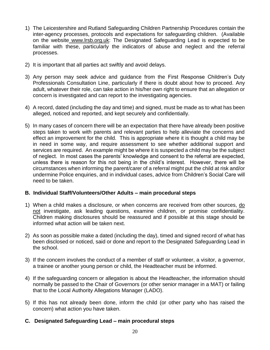- 1) The Leicestershire and Rutland Safeguarding Children Partnership Procedures contain the inter-agency processes, protocols and expectations for safeguarding children. (Available on the website www.lrsb.org.uk: The Designated Safeguarding Lead is expected to be familiar with these, particularly the indicators of abuse and neglect and the referral processes.
- 2) It is important that all parties act swiftly and avoid delays.
- 3) Any person may seek advice and guidance from the First Response Children's Duty Professionals Consultation Line, particularly if there is doubt about how to proceed. Any adult, whatever their role, can take action in his/her own right to ensure that an allegation or concern is investigated and can report to the investigating agencies.
- 4) A record, dated (including the day and time) and signed, must be made as to what has been alleged, noticed and reported, and kept securely and confidentially.
- 5) In many cases of concern there will be an expectation that there have already been positive steps taken to work with parents and relevant parties to help alleviate the concerns and effect an improvement for the child. This is appropriate where it is thought a child may be in need in some way, and require assessment to see whether additional support and services are required. An example might be where it is suspected a child may be the subject of neglect. In most cases the parents' knowledge and consent to the referral are expected, unless there is reason for this not being in the child's interest. However, there will be circumstances when informing the parent/carer of a referral might put the child at risk and/or undermine Police enquiries, and in individual cases, advice from Children's Social Care will need to be taken.

#### **B. Individual Staff/Volunteers/Other Adults – main procedural steps**

- 1) When a child makes a disclosure, or when concerns are received from other sources, do not investigate, ask leading questions, examine children, or promise confidentiality. Children making disclosures should be reassured and if possible at this stage should be informed what action will be taken next.
- 2) As soon as possible make a dated (including the day), timed and signed record of what has been disclosed or noticed, said or done and report to the Designated Safeguarding Lead in the school.
- 3) If the concern involves the conduct of a member of staff or volunteer, a visitor, a governor, a trainee or another young person or child, the Headteacher must be informed.
- 4) If the safeguarding concern or allegation is about the Headteacher, the information should normally be passed to the Chair of Governors (or other senior manager in a MAT) or failing that to the Local Authority Allegations Manager (LADO).
- 5) If this has not already been done, inform the child (or other party who has raised the concern) what action you have taken.

# **C. Designated Safeguarding Lead – main procedural steps**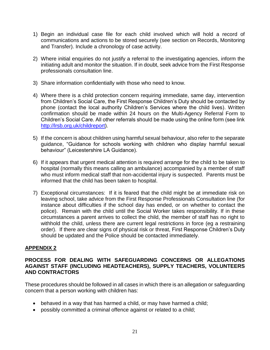- 1) Begin an individual case file for each child involved which will hold a record of communications and actions to be stored securely (see section on Records, Monitoring and Transfer). Include a chronology of case activity.
- 2) Where initial enquiries do not justify a referral to the investigating agencies, inform the initiating adult and monitor the situation. If in doubt, seek advice from the First Response professionals consultation line.
- 3) Share information confidentially with those who need to know.
- 4) Where there is a child protection concern requiring immediate, same day, intervention from Children's Social Care, the First Response Children's Duty should be contacted by phone (contact the local authority Children's Services where the child lives). Written confirmation should be made within 24 hours on the Multi-Agency Referral Form to Children's Social Care. All other referrals should be made using the online form (see link [http://lrsb.org.uk/childreport\)](http://lrsb.org.uk/childreport).
- 5) If the concern is about children using harmful sexual behaviour, also refer to the separate guidance, "Guidance for schools working with children who display harmful sexual behaviour" (Leicestershire LA Guidance).
- 6) If it appears that urgent medical attention is required arrange for the child to be taken to hospital (normally this means calling an ambulance) accompanied by a member of staff who must inform medical staff that non-accidental injury is suspected. Parents must be informed that the child has been taken to hospital.
- 7) Exceptional circumstances: If it is feared that the child might be at immediate risk on leaving school, take advice from the First Response Professionals Consultation line (for instance about difficulties if the school day has ended, or on whether to contact the police). Remain with the child until the Social Worker takes responsibility. If in these circumstances a parent arrives to collect the child, the member of staff has no right to withhold the child, unless there are current legal restrictions in force (eg a restraining order). If there are clear signs of physical risk or threat, First Response Children's Duty should be updated and the Police should be contacted immediately.

# **APPENDIX 2**

## **PROCESS FOR DEALING WITH SAFEGUARDING CONCERNS OR ALLEGATIONS AGAINST STAFF (INCLUDING HEADTEACHERS), SUPPLY TEACHERS, VOLUNTEERS AND CONTRACTORS**

These procedures should be followed in all cases in which there is an allegation or safeguarding concern that a person working with children has:

- behaved in a way that has harmed a child, or may have harmed a child;
- possibly committed a criminal offence against or related to a child;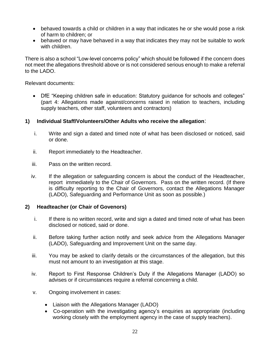- behaved towards a child or children in a way that indicates he or she would pose a risk of harm to children; or
- behaved or may have behaved in a way that indicates they may not be suitable to work with children.

There is also a school "Low-level concerns policy" which should be followed if the concern does not meet the allegations threshold above or is not considered serious enough to make a referral to the LADO.

Relevant documents:

• DfE "Keeping children safe in education: Statutory guidance for schools and colleges" (part 4: Allegations made against/concerns raised in relation to teachers, including supply teachers, other staff, volunteers and contractors)

#### **1) Individual Staff/Volunteers/Other Adults who receive the allegation**:

- i. Write and sign a dated and timed note of what has been disclosed or noticed, said or done.
- ii. Report immediately to the Headteacher.
- iii. Pass on the written record.
- iv. If the allegation or safeguarding concern is about the conduct of the Headteacher, report immediately to the Chair of Governors. Pass on the written record. (If there is difficulty reporting to the Chair of Governors, contact the Allegations Manager (LADO), Safeguarding and Performance Unit as soon as possible.)

#### **2) Headteacher (or Chair of Govenors)**

- i. If there is no written record, write and sign a dated and timed note of what has been disclosed or noticed, said or done.
- ii. Before taking further action notify and seek advice from the Allegations Manager (LADO), Safeguarding and Improvement Unit on the same day.
- iii. You may be asked to clarify details or the circumstances of the allegation, but this must not amount to an investigation at this stage.
- iv. Report to First Response Children's Duty if the Allegations Manager (LADO) so advises or if circumstances require a referral concerning a child.
- v. Ongoing involvement in cases:
	- Liaison with the Allegations Manager (LADO)
	- Co-operation with the investigating agency's enquiries as appropriate (including working closely with the employment agency in the case of supply teachers).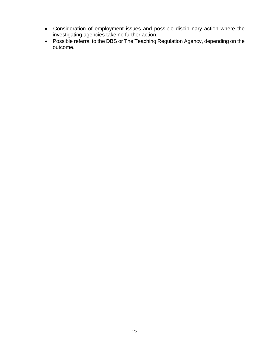- Consideration of employment issues and possible disciplinary action where the investigating agencies take no further action.
- Possible referral to the DBS or The Teaching Regulation Agency, depending on the outcome.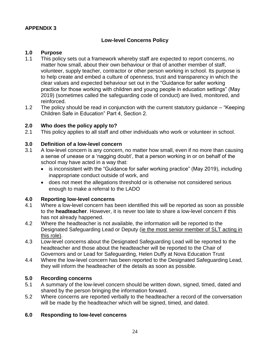#### **APPENDIX 3**

# **Low-level Concerns Policy**

#### **1.0 Purpose**

- 1.1 This policy sets out a framework whereby staff are expected to report concerns, no matter how small, about their own behaviour or that of another member of staff, volunteer, supply teacher, contractor or other person working in school. Its purpose is to help create and embed a culture of openness, trust and transparency in which the clear values and expected behaviour set out in the "Guidance for safer working practice for those working with children and young people in education settings" (May 2019) (sometimes called the safeguarding code of conduct) are lived, monitored, and reinforced.
- 1.2 The policy should be read in conjunction with the current statutory guidance "Keeping Children Safe in Education" Part 4, Section 2.

#### **2.0 Who does the policy apply to?**

2.1 This policy applies to all staff and other individuals who work or volunteer in school.

#### **3.0 Definition of a low-level concern**

- 3.1 A low-level concern is any concern, no matter how small, even if no more than causing a sense of unease or a 'nagging doubt', that a person working in or on behalf of the school may have acted in a way that:
	- is inconsistent with the "Guidance for safer working practice" (May 2019), including inappropriate conduct outside of work, and
	- does not meet the allegations threshold or is otherwise not considered serious enough to make a referral to the LADO

#### **4.0 Reporting low-level concerns**

- 4.1 Where a low-level concern has been identified this will be reported as soon as possible to the **headteacher**. However, it is never too late to share a low-level concern if this has not already happened.
- 4.2 Where the headteacher is not available, the information will be reported to the Designated Safeguarding Lead or Deputy (ie the most senior member of SLT acting in this role).
- 4.3 Low-level concerns about the Designated Safeguarding Lead will be reported to the headteacher and those about the headteacher will be reported to the Chair of Governors and or Lead for Safeguarding, Helen Duffy at Nova Education Trust
- 4.4 Where the low-level concern has been reported to the Designated Safeguarding Lead, they will inform the headteacher of the details as soon as possible.

#### **5.0 Recording concerns**

- 5.1 A summary of the low-level concern should be written down, signed, timed, dated and shared by the person bringing the information forward.
- 5.2 Where concerns are reported verbally to the headteacher a record of the conversation will be made by the headteacher which will be signed, timed, and dated.

#### **6.0 Responding to low-level concerns**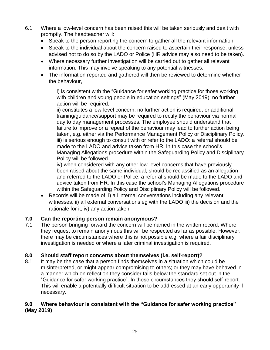- 6.1 Where a low-level concern has been raised this will be taken seriously and dealt with promptly. The headteacher will:
	- Speak to the person reporting the concern to gather all the relevant information
	- Speak to the individual about the concern raised to ascertain their response, unless advised not to do so by the LADO or Police (HR advice may also need to be taken).
	- Where necessary further investigation will be carried out to gather all relevant information. This may involve speaking to any potential witnesses.
	- The information reported and gathered will then be reviewed to determine whether the behaviour,

i) is consistent with the "Guidance for safer working practice for those working with children and young people in education settings" (May 2019): no further action will be required,

ii) constitutes a low-level concern: no further action is required, or additional training/guidance/support may be required to rectify the behaviour via normal day to day management processes. The employee should understand that failure to improve or a repeat of the behaviour may lead to further action being taken, e.g. either via the Performance Management Policy or Disciplinary Policy. iii) is serious enough to consult with or refer to the LADO: a referral should be made to the LADO and advice taken from HR. In this case the school's Managing Allegations procedure within the Safeguarding Policy and Disciplinary Policy will be followed.

iv) when considered with any other low-level concerns that have previously been raised about the same individual, should be reclassified as an allegation and referred to the LADO or Police: a referral should be made to the LADO and advice taken from HR. In this case the school's Managing Allegations procedure within the Safeguarding Policy and Disciplinary Policy will be followed.

• Records will be made of, i) all internal conversations including any relevant witnesses, ii) all external conversations eg with the LADO iii) the decision and the rationale for it, iv) any action taken

# **7.0 Can the reporting person remain anonymous?**

7.1 The person bringing forward the concern will be named in the written record. Where they request to remain anonymous this will be respected as far as possible. However, there may be circumstances where this is not possible e.g. where a fair disciplinary investigation is needed or where a later criminal investigation is required.

# **8.0 Should staff report concerns about themselves (i.e. self-report)?**

8.1 It may be the case that a person finds themselves in a situation which could be misinterpreted, or might appear compromising to others; or they may have behaved in a manner which on reflection they consider falls below the standard set out in the "Guidance for safer working practice". In these circumstances they should self-report. This will enable a potentially difficult situation to be addressed at an early opportunity if necessary.

# **9.0 Where behaviour is consistent with the "Guidance for safer working practice" (May 2019)**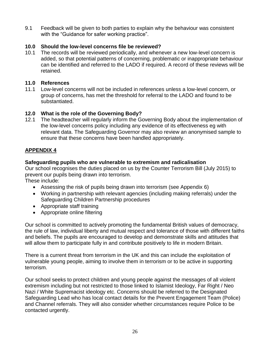9.1 Feedback will be given to both parties to explain why the behaviour was consistent with the "Guidance for safer working practice".

# **10.0 Should the low-level concerns file be reviewed?**

10.1 The records will be reviewed periodically, and whenever a new low-level concern is added, so that potential patterns of concerning, problematic or inappropriate behaviour can be identified and referred to the LADO if required. A record of these reviews will be retained.

## **11.0 References**

11.1 Low-level concerns will not be included in references unless a low-level concern, or group of concerns, has met the threshold for referral to the LADO and found to be substantiated.

# **12.0 What is the role of the Governing Body?**

12.1 The headteacher will regularly inform the Governing Body about the implementation of the low-level concerns policy including any evidence of its effectiveness eg with relevant data. The Safeguarding Governor may also review an anonymised sample to ensure that these concerns have been handled appropriately.

# **APPENDIX 4**

# **Safeguarding pupils who are vulnerable to extremism and radicalisation**

Our school recognises the duties placed on us by the Counter Terrorism Bill (July 2015) to prevent our pupils being drawn into terrorism.

These include:

- Assessing the risk of pupils being drawn into terrorism (see Appendix 6)
- Working in partnership with relevant agencies (including making referrals) under the Safeguarding Children Partnership procedures
- Appropriate staff training
- Appropriate online filtering

Our school is committed to actively promoting the fundamental British values of democracy, the rule of law, individual liberty and mutual respect and tolerance of those with different faiths and beliefs. The pupils are encouraged to develop and demonstrate skills and attitudes that will allow them to participate fully in and contribute positively to life in modern Britain.

There is a current threat from terrorism in the UK and this can include the exploitation of vulnerable young people, aiming to involve them in terrorism or to be active in supporting terrorism.

Our school seeks to protect children and young people against the messages of all violent extremism including but not restricted to those linked to Islamist Ideology, Far Right / Neo Nazi / White Supremacist ideology etc. Concerns should be referred to the Designated Safeguarding Lead who has local contact details for the Prevent Engagement Team (Police) and Channel referrals. They will also consider whether circumstances require Police to be contacted urgently.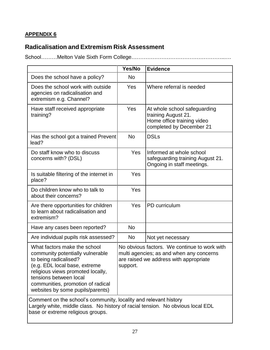# **APPENDIX 6**

# **Radicalisation and Extremism Risk Assessment**

School………Melton Vale Sixth Form College……………………………………………..….

|                                                                                                                                                                                                                                                                    | Yes/No    | <b>Evidence</b>                                                                                                                    |
|--------------------------------------------------------------------------------------------------------------------------------------------------------------------------------------------------------------------------------------------------------------------|-----------|------------------------------------------------------------------------------------------------------------------------------------|
| Does the school have a policy?                                                                                                                                                                                                                                     | <b>No</b> |                                                                                                                                    |
| Does the school work with outside<br>agencies on radicalisation and<br>extremism e.g. Channel?                                                                                                                                                                     | Yes       | Where referral is needed                                                                                                           |
| Have staff received appropriate<br>training?                                                                                                                                                                                                                       | Yes       | At whole school safeguarding<br>training August 21.<br>Home office training video<br>completed by December 21                      |
| Has the school got a trained Prevent<br>lead?                                                                                                                                                                                                                      | <b>No</b> | <b>DSLs</b>                                                                                                                        |
| Do staff know who to discuss<br>concerns with? (DSL)                                                                                                                                                                                                               | Yes       | Informed at whole school<br>safeguarding training August 21.<br>Ongoing in staff meetings.                                         |
| Is suitable filtering of the internet in<br>place?                                                                                                                                                                                                                 | Yes       |                                                                                                                                    |
| Do children know who to talk to<br>about their concerns?                                                                                                                                                                                                           | Yes       |                                                                                                                                    |
| Are there opportunities for children<br>to learn about radicalisation and<br>extremism?                                                                                                                                                                            | Yes       | PD curriculum                                                                                                                      |
| Have any cases been reported?                                                                                                                                                                                                                                      | <b>No</b> |                                                                                                                                    |
| Are individual pupils risk assessed?                                                                                                                                                                                                                               | No        | Not yet necessary                                                                                                                  |
| What factors make the school<br>community potentially vulnerable<br>to being radicalised?<br>(e.g. EDL local base, extreme<br>religious views promoted locally,<br>tensions between local<br>communities, promotion of radical<br>websites by some pupils/parents) | support.  | No obvious factors. We continue to work with<br>multi agencies; as and when any concerns<br>are raised we address with appropriate |
| Comment on the school's community, locality and relevant history<br>Largely white, middle class. No history of racial tension. No obvious local EDL<br>base or extreme religious groups.                                                                           |           |                                                                                                                                    |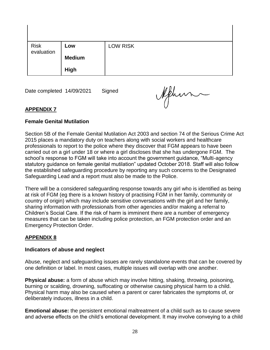| Risk<br>evaluation | Low           | <b>LOW RISK</b> |
|--------------------|---------------|-----------------|
|                    | <b>Medium</b> |                 |
|                    | <b>High</b>   |                 |

Date completed 14/09/2021 Signed

Aphin

# **APPENDIX 7**

#### **Female Genital Mutilation**

Section 5B of the Female Genital Mutilation Act 2003 and section 74 of the Serious Crime Act 2015 places a mandatory duty on teachers along with social workers and healthcare professionals to report to the police where they discover that FGM appears to have been carried out on a girl under 18 or where a girl discloses that she has undergone FGM. The school's response to FGM will take into account the government guidance, "Multi-agency statutory guidance on female genital mutilation" updated October 2018. Staff will also follow the established safeguarding procedure by reporting any such concerns to the Designated Safeguarding Lead and a report must also be made to the Police.

There will be a considered safeguarding response towards any girl who is identified as being at risk of FGM (eg there is a known history of practising FGM in her family, community or country of origin) which may include sensitive conversations with the girl and her family, sharing information with professionals from other agencies and/or making a referral to Children's Social Care. If the risk of harm is imminent there are a number of emergency measures that can be taken including police protection, an FGM protection order and an Emergency Protection Order.

# **APPENDIX 8**

#### **Indicators of abuse and neglect**

Abuse, neglect and safeguarding issues are rarely standalone events that can be covered by one definition or label. In most cases, multiple issues will overlap with one another.

**Physical abuse:** a form of abuse which may involve hitting, shaking, throwing, poisoning, burning or scalding, drowning, suffocating or otherwise causing physical harm to a child. Physical harm may also be caused when a parent or carer fabricates the symptoms of, or deliberately induces, illness in a child.

**Emotional abuse:** the persistent emotional maltreatment of a child such as to cause severe and adverse effects on the child's emotional development. It may involve conveying to a child